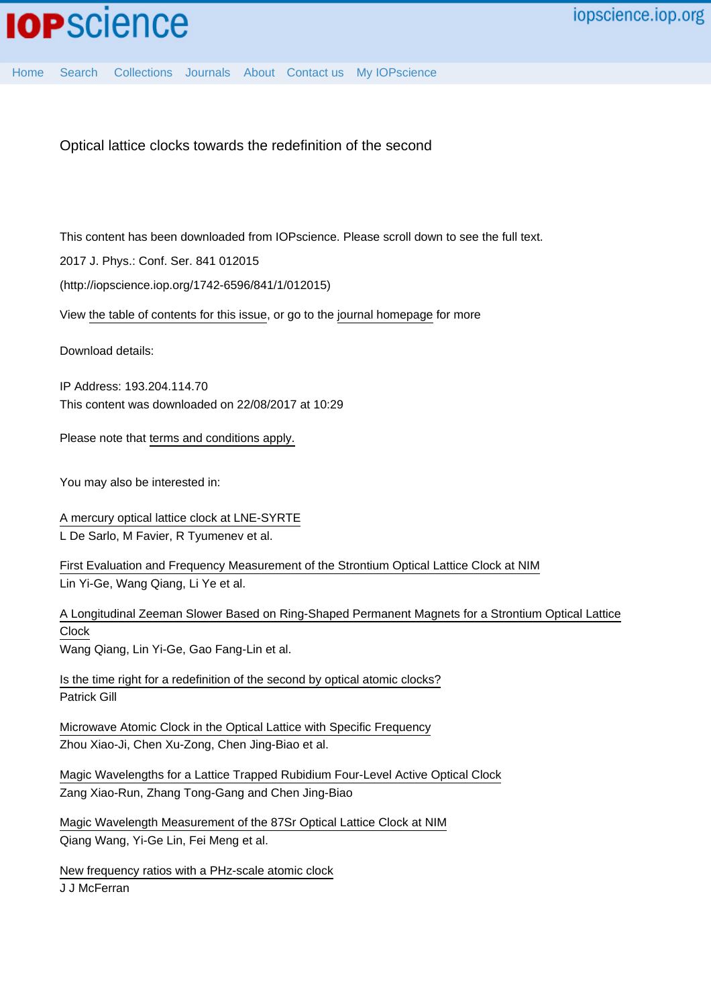

Optical lattice clocks towards the redefinition of the second

This content has been downloaded from IOPscience. Please scroll down to see the full text.

2017 J. Phys.: Conf. Ser. 841 012015

(http://iopscience.iop.org/1742-6596/841/1/012015)

View [the table of contents for this issue](http://iopscience.iop.org/1742-6596/841/1), or go to the [journal homepage](http://iopscience.iop.org/1742-6596) for more

Download details:

IP Address: 193.204.114.70 This content was downloaded on 22/08/2017 at 10:29

Please note that [terms and conditions apply.](http://iopscience.iop.org/page/terms)

You may also be interested in:

[A mercury optical lattice clock at LNE-SYRTE](http://iopscience.iop.org/article/10.1088/1742-6596/723/1/012017) L De Sarlo, M Favier, R Tyumenev et al.

[First Evaluation and Frequency Measurement of the Strontium Optical Lattice Clock at NIM](http://iopscience.iop.org/article/10.1088/0256-307X/32/9/090601) Lin Yi-Ge, Wang Qiang, Li Ye et al.

[A Longitudinal Zeeman Slower Based on Ring-Shaped Permanent Magnets for a Strontium Optical Lattice](http://iopscience.iop.org/article/10.1088/0256-307X/32/10/100701) [Clock](http://iopscience.iop.org/article/10.1088/0256-307X/32/10/100701)

Wang Qiang, Lin Yi-Ge, Gao Fang-Lin et al.

[Is the time right for a redefinition of the second by optical atomic clocks?](http://iopscience.iop.org/article/10.1088/1742-6596/723/1/012053) Patrick Gill

[Microwave Atomic Clock in the Optical Lattice with Specific Frequency](http://iopscience.iop.org/article/10.1088/0256-307X/26/9/090601) Zhou Xiao-Ji, Chen Xu-Zong, Chen Jing-Biao et al.

[Magic Wavelengths for a Lattice Trapped Rubidium Four-Level Active Optical Clock](http://iopscience.iop.org/article/10.1088/0256-307X/29/9/090601) Zang Xiao-Run, Zhang Tong-Gang and Chen Jing-Biao

[Magic Wavelength Measurement of the 87Sr Optical Lattice Clock at NIM](http://iopscience.iop.org/article/10.1088/0256-307X/33/10/103201) Qiang Wang, Yi-Ge Lin, Fei Meng et al.

[New frequency ratios with a PHz-scale atomic clock](http://iopscience.iop.org/article/10.1088/1367-2630/18/11/111003) J J McFerran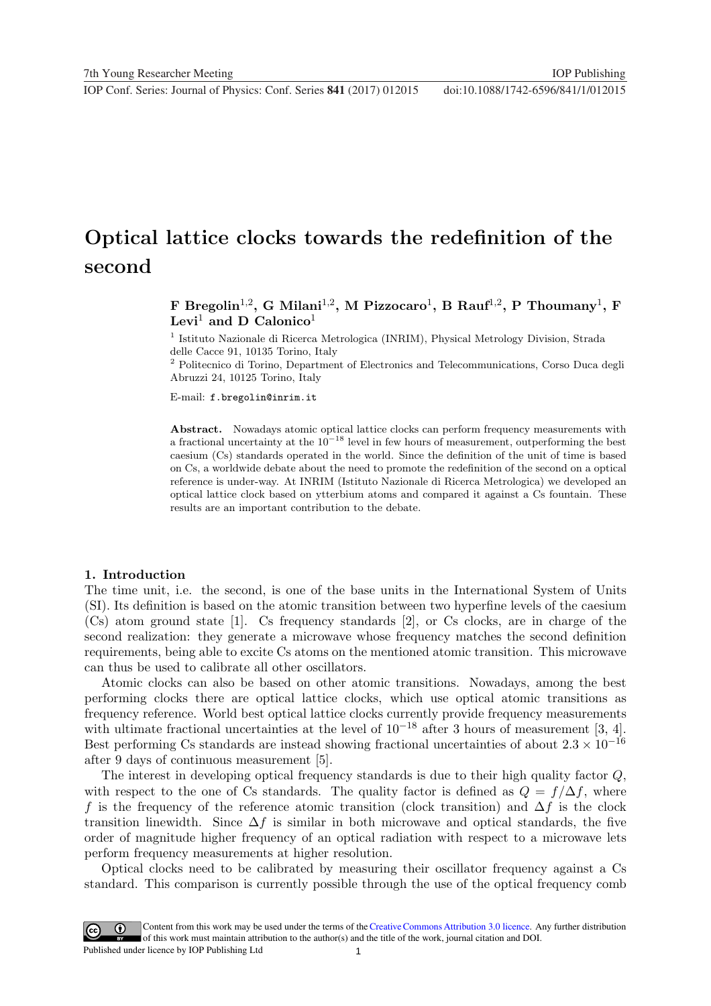# Optical lattice clocks towards the redefinition of the second

F Bregolin<sup>1,2</sup>, G Milani<sup>1,2</sup>, M Pizzocaro<sup>1</sup>, B Rauf<sup>1,2</sup>, P Thoumany<sup>1</sup>, F Levi<sup>1</sup> and D Calonico<sup>1</sup>

<sup>1</sup> Istituto Nazionale di Ricerca Metrologica (INRIM), Physical Metrology Division, Strada delle Cacce 91, 10135 Torino, Italy

 $^{\rm 2}$  Politecnico di Torino, Department of Electronics and Telecommunications, Corso Duca degli Abruzzi 24, 10125 Torino, Italy

E-mail: f.bregolin@inrim.it

Abstract. Nowadays atomic optical lattice clocks can perform frequency measurements with a fractional uncertainty at the  $10^{-18}$  level in few hours of measurement, outperforming the best caesium (Cs) standards operated in the world. Since the definition of the unit of time is based on Cs, a worldwide debate about the need to promote the redefinition of the second on a optical reference is under-way. At INRIM (Istituto Nazionale di Ricerca Metrologica) we developed an optical lattice clock based on ytterbium atoms and compared it against a Cs fountain. These results are an important contribution to the debate.

#### 1. Introduction

The time unit, i.e. the second, is one of the base units in the International System of Units (SI). Its definition is based on the atomic transition between two hyperfine levels of the caesium (Cs) atom ground state [1]. Cs frequency standards [2], or Cs clocks, are in charge of the second realization: they generate a microwave whose frequency matches the second definition requirements, being able to excite Cs atoms on the mentioned atomic transition. This microwave can thus be used to calibrate all other oscillators.

Atomic clocks can also be based on other atomic transitions. Nowadays, among the best performing clocks there are optical lattice clocks, which use optical atomic transitions as frequency reference. World best optical lattice clocks currently provide frequency measurements with ultimate fractional uncertainties at the level of  $10^{-18}$  after 3 hours of measurement [3, 4]. Best performing Cs standards are instead showing fractional uncertainties of about  $2.3 \times 10^{-16}$ after 9 days of continuous measurement [5].

The interest in developing optical frequency standards is due to their high quality factor Q, with respect to the one of Cs standards. The quality factor is defined as  $Q = f/\Delta f$ , where f is the frequency of the reference atomic transition (clock transition) and  $\Delta f$  is the clock transition linewidth. Since  $\Delta f$  is similar in both microwave and optical standards, the five order of magnitude higher frequency of an optical radiation with respect to a microwave lets perform frequency measurements at higher resolution.

Optical clocks need to be calibrated by measuring their oscillator frequency against a Cs standard. This comparison is currently possible through the use of the optical frequency comb

1 Content from this work may be used under the terms of the[Creative Commons Attribution 3.0 licence.](http://creativecommons.org/licenses/by/3.0) Any further distribution of this work must maintain attribution to the author(s) and the title of the work, journal citation and DOI. Published under licence by IOP Publishing Ltd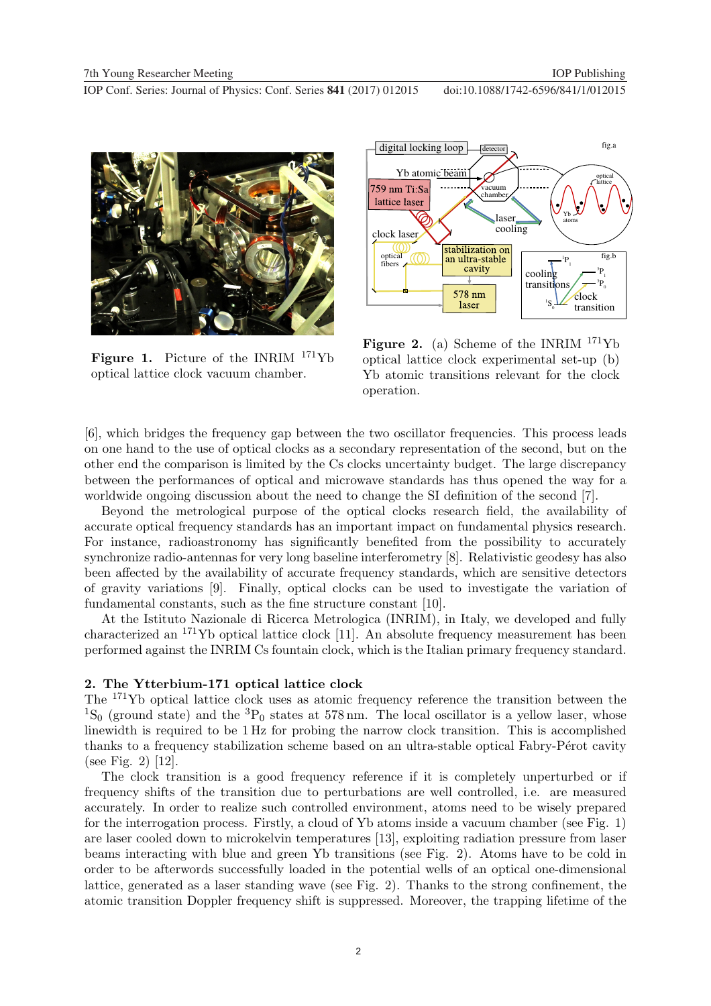

Figure 1. Picture of the INRIM <sup>171</sup>Yb optical lattice clock vacuum chamber.



**Figure 2.** (a) Scheme of the INRIM  $^{171}Yb$ optical lattice clock experimental set-up (b) Yb atomic transitions relevant for the clock operation.

[6], which bridges the frequency gap between the two oscillator frequencies. This process leads on one hand to the use of optical clocks as a secondary representation of the second, but on the other end the comparison is limited by the Cs clocks uncertainty budget. The large discrepancy between the performances of optical and microwave standards has thus opened the way for a worldwide ongoing discussion about the need to change the SI definition of the second [7].

Beyond the metrological purpose of the optical clocks research field, the availability of accurate optical frequency standards has an important impact on fundamental physics research. For instance, radioastronomy has significantly benefited from the possibility to accurately synchronize radio-antennas for very long baseline interferometry [8]. Relativistic geodesy has also been affected by the availability of accurate frequency standards, which are sensitive detectors of gravity variations [9]. Finally, optical clocks can be used to investigate the variation of fundamental constants, such as the fine structure constant [10].

At the Istituto Nazionale di Ricerca Metrologica (INRIM), in Italy, we developed and fully characterized an <sup>171</sup>Yb optical lattice clock [11]. An absolute frequency measurement has been performed against the INRIM Cs fountain clock, which is the Italian primary frequency standard.

#### 2. The Ytterbium-171 optical lattice clock

The <sup>171</sup>Yb optical lattice clock uses as atomic frequency reference the transition between the  ${}^{1}S_{0}$  (ground state) and the  ${}^{3}P_{0}$  states at 578 nm. The local oscillator is a yellow laser, whose linewidth is required to be 1 Hz for probing the narrow clock transition. This is accomplished thanks to a frequency stabilization scheme based on an ultra-stable optical Fabry-Pérot cavity (see Fig. 2) [12].

The clock transition is a good frequency reference if it is completely unperturbed or if frequency shifts of the transition due to perturbations are well controlled, i.e. are measured accurately. In order to realize such controlled environment, atoms need to be wisely prepared for the interrogation process. Firstly, a cloud of Yb atoms inside a vacuum chamber (see Fig. 1) are laser cooled down to microkelvin temperatures [13], exploiting radiation pressure from laser beams interacting with blue and green Yb transitions (see Fig. 2). Atoms have to be cold in order to be afterwords successfully loaded in the potential wells of an optical one-dimensional lattice, generated as a laser standing wave (see Fig. 2). Thanks to the strong confinement, the atomic transition Doppler frequency shift is suppressed. Moreover, the trapping lifetime of the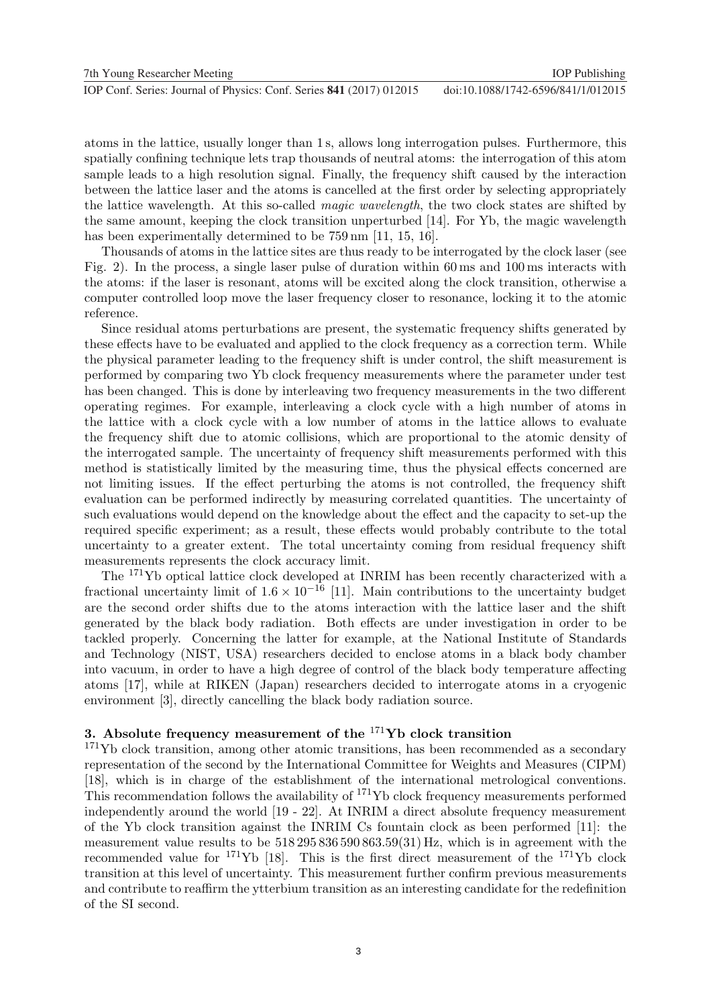atoms in the lattice, usually longer than 1 s, allows long interrogation pulses. Furthermore, this spatially confining technique lets trap thousands of neutral atoms: the interrogation of this atom sample leads to a high resolution signal. Finally, the frequency shift caused by the interaction between the lattice laser and the atoms is cancelled at the first order by selecting appropriately the lattice wavelength. At this so-called *magic wavelength*, the two clock states are shifted by the same amount, keeping the clock transition unperturbed [14]. For Yb, the magic wavelength has been experimentally determined to be  $759 \text{ nm}$  [11, 15, 16].

Thousands of atoms in the lattice sites are thus ready to be interrogated by the clock laser (see Fig. 2). In the process, a single laser pulse of duration within 60 ms and 100 ms interacts with the atoms: if the laser is resonant, atoms will be excited along the clock transition, otherwise a computer controlled loop move the laser frequency closer to resonance, locking it to the atomic reference.

Since residual atoms perturbations are present, the systematic frequency shifts generated by these effects have to be evaluated and applied to the clock frequency as a correction term. While the physical parameter leading to the frequency shift is under control, the shift measurement is performed by comparing two Yb clock frequency measurements where the parameter under test has been changed. This is done by interleaving two frequency measurements in the two different operating regimes. For example, interleaving a clock cycle with a high number of atoms in the lattice with a clock cycle with a low number of atoms in the lattice allows to evaluate the frequency shift due to atomic collisions, which are proportional to the atomic density of the interrogated sample. The uncertainty of frequency shift measurements performed with this method is statistically limited by the measuring time, thus the physical effects concerned are not limiting issues. If the effect perturbing the atoms is not controlled, the frequency shift evaluation can be performed indirectly by measuring correlated quantities. The uncertainty of such evaluations would depend on the knowledge about the effect and the capacity to set-up the required specific experiment; as a result, these effects would probably contribute to the total uncertainty to a greater extent. The total uncertainty coming from residual frequency shift measurements represents the clock accuracy limit.

The <sup>171</sup>Yb optical lattice clock developed at INRIM has been recently characterized with a fractional uncertainty limit of  $1.6 \times 10^{-16}$  [11]. Main contributions to the uncertainty budget are the second order shifts due to the atoms interaction with the lattice laser and the shift generated by the black body radiation. Both effects are under investigation in order to be tackled properly. Concerning the latter for example, at the National Institute of Standards and Technology (NIST, USA) researchers decided to enclose atoms in a black body chamber into vacuum, in order to have a high degree of control of the black body temperature affecting atoms [17], while at RIKEN (Japan) researchers decided to interrogate atoms in a cryogenic environment [3], directly cancelling the black body radiation source.

## 3. Absolute frequency measurement of the  $^{171}\text{Yb}$  clock transition

<sup>171</sup>Yb clock transition, among other atomic transitions, has been recommended as a secondary representation of the second by the International Committee for Weights and Measures (CIPM) [18], which is in charge of the establishment of the international metrological conventions. This recommendation follows the availability of  $^{171}\text{Yb}$  clock frequency measurements performed independently around the world [19 - 22]. At INRIM a direct absolute frequency measurement of the Yb clock transition against the INRIM Cs fountain clock as been performed [11]: the measurement value results to be 518 295 836 590 863.59(31) Hz, which is in agreement with the recommended value for  $^{171}\text{Yb}$  [18]. This is the first direct measurement of the  $^{171}\text{Yb}$  clock transition at this level of uncertainty. This measurement further confirm previous measurements and contribute to reaffirm the ytterbium transition as an interesting candidate for the redefinition of the SI second.